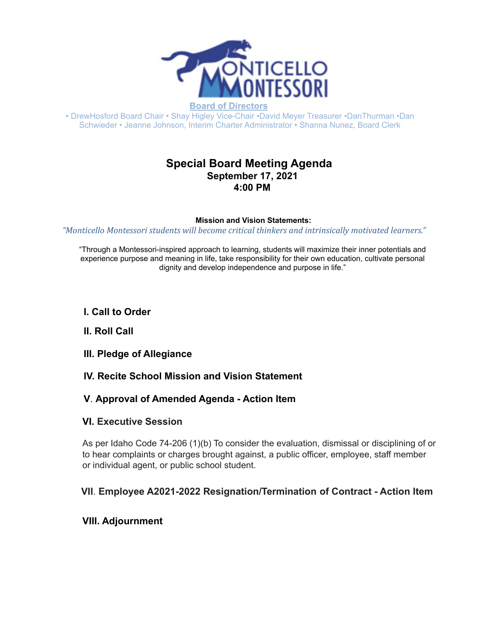

**Board of Directors**

• DrewHosford Board Chair • Shay Higley Vice-Chair •David Meyer Treasurer •DanThurman •Dan Schwieder • Jeanne Johnson, Interim Charter Administrator • Shanna Nunez, Board Clerk

# **Special Board Meeting Agenda September 17, 2021 4:00 PM**

#### **Mission and Vision Statements:**

*"Monticello Montessori students will become critical thinkers and intrinsically motivated learners."*

"Through a Montessori-inspired approach to learning, students will maximize their inner potentials and experience purpose and meaning in life, take responsibility for their own education, cultivate personal dignity and develop independence and purpose in life."

### **I. Call to Order**

#### **II. Roll Call**

- **III. Pledge of Allegiance**
- **IV. Recite School Mission and Vision Statement**

#### **V**. **Approval of Amended Agenda - Action Item**

#### **VI. Executive Session**

As per Idaho Code 74-206 (1)(b) To consider the evaluation, dismissal or disciplining of or to hear complaints or charges brought against, a public officer, employee, staff member or individual agent, or public school student.

## **VII**. **Employee A2021-2022 Resignation/Termination of Contract - Action Item**

## **VIII. Adjournment**